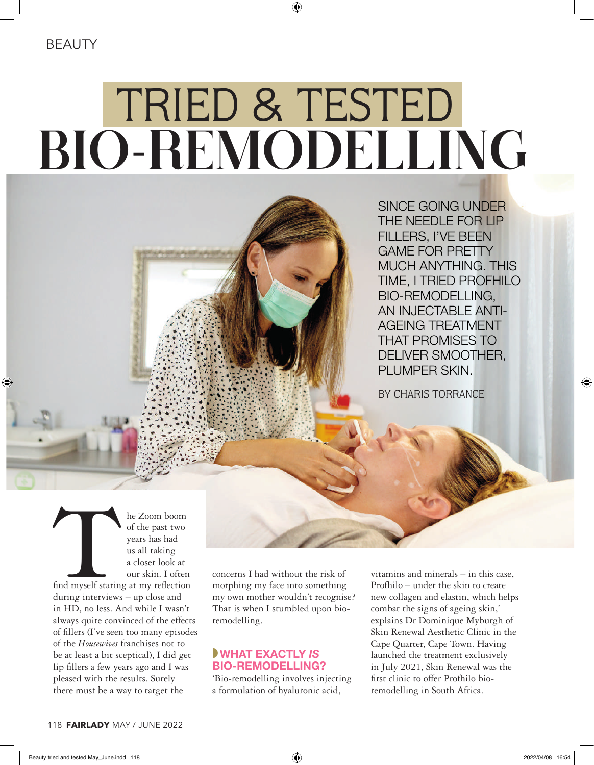⊕

# BIO-REMODELLING TRIED & TESTED

SINCE GOING UNDER THE NEEDLE FOR LIP FILLERS, I'VE BEEN GAME FOR PRETTY MUCH ANYTHING. THIS TIME, I TRIED PROFHILO BIO-REMODELLING, AN INJECTABLE ANTI-AGEING TREATMENT THAT PROMISES TO DELIVER SMOOTHER, PLUMPER SKIN.

BY CHARIS TORRANCE

The Zoom boom<br>
of the past two<br>
years has had<br>
us all taking<br>
a closer look at<br>
our skin. I often<br>
ind myself staring at my reflection<br>
uring interviews<br>
un close and of the past two years has had us all taking a closer look at our skin. I often

find myself staring at my reflection during interviews – up close and in HD, no less. And while I wasn't always quite convinced of the effects of fillers (I've seen too many episodes of the *Housewives* franchises not to be at least a bit sceptical), I did get lip fillers a few years ago and I was pleased with the results. Surely there must be a way to target the

concerns I had without the risk of morphing my face into something my own mother wouldn't recognise? That is when I stumbled upon bioremodelling.

# ◗WHAT EXACTLY *IS* BIO-REMODELLING?

'Bio-remodelling involves injecting a formulation of hyaluronic acid,

vitamins and minerals – in this case, Profhilo – under the skin to create new collagen and elastin, which helps combat the signs of ageing skin,' explains Dr Dominique Myburgh of Skin Renewal Aesthetic Clinic in the Cape Quarter, Cape Town. Having launched the treatment exclusively in July 2021, Skin Renewal was the first clinic to offer Profhilo bioremodelling in South Africa.

 $\bigoplus$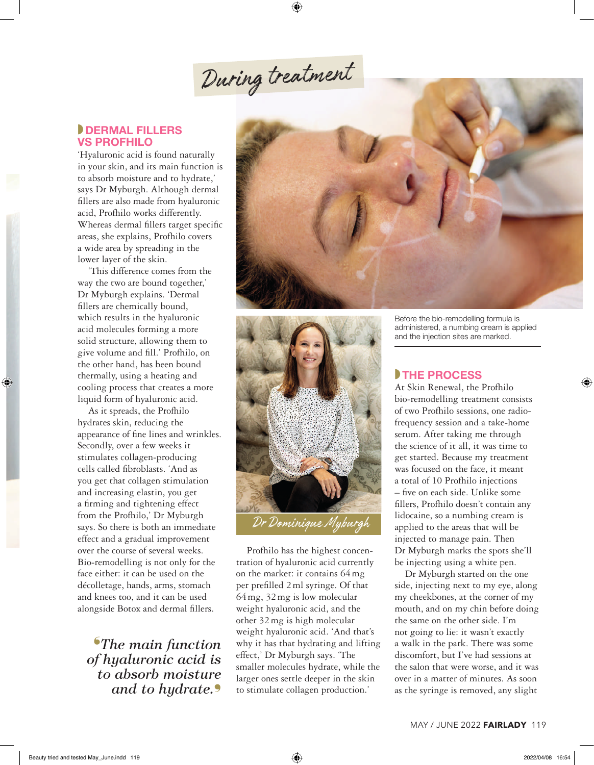During treatment

⊕

### **DERMAL FILLERS** VS PROFHILO

'Hyaluronic acid is found naturally in your skin, and its main function is to absorb moisture and to hydrate,' says Dr Myburgh. Although dermal fillers are also made from hyaluronic acid, Profhilo works differently. Whereas dermal fillers target specific areas, she explains, Profhilo covers a wide area by spreading in the lower layer of the skin.

'This difference comes from the way the two are bound together,' Dr Myburgh explains. 'Dermal fillers are chemically bound, which results in the hyaluronic acid molecules forming a more solid structure, allowing them to give volume and fill.' Profhilo, on the other hand, has been bound thermally, using a heating and cooling process that creates a more liquid form of hyaluronic acid.

◈

As it spreads, the Profhilo hydrates skin, reducing the appearance of fine lines and wrinkles. Secondly, over a few weeks it stimulates collagen-producing cells called fibroblasts. 'And as you get that collagen stimulation and increasing elastin, you get a firming and tightening effect from the Profhilo,' Dr Myburgh says. So there is both an immediate effect and a gradual improvement over the course of several weeks. Bio-remodelling is not only for the face either: it can be used on the décolletage, hands, arms, stomach and knees too, and it can be used alongside Botox and dermal fillers.

❛*The main function of hyaluronic acid is to absorb moisture and to hydrate.*❜





Profhilo has the highest concentration of hyaluronic acid currently on the market: it contains 64mg per prefilled 2ml syringe. Of that 64mg, 32mg is low molecular weight hyaluronic acid, and the other 32mg is high molecular weight hyaluronic acid. 'And that's why it has that hydrating and lifting effect,' Dr Myburgh says. 'The smaller molecules hydrate, while the larger ones settle deeper in the skin to stimulate collagen production.'

Before the bio-remodelling formula is administered, a numbing cream is applied and the injection sites are marked.

# **THE PROCESS**

At Skin Renewal, the Profhilo bio-remodelling treatment consists of two Profhilo sessions, one radiofrequency session and a take-home serum. After taking me through the science of it all, it was time to get started. Because my treatment was focused on the face, it meant a total of 10 Profhilo injections – five on each side. Unlike some fillers, Profhilo doesn't contain any lidocaine, so a numbing cream is applied to the areas that will be injected to manage pain. Then Dr Myburgh marks the spots she'll be injecting using a white pen.

Dr Myburgh started on the one side, injecting next to my eye, along my cheekbones, at the corner of my mouth, and on my chin before doing the same on the other side. I'm not going to lie: it wasn't exactly a walk in the park. There was some discomfort, but I've had sessions at the salon that were worse, and it was over in a matter of minutes. As soon as the syringe is removed, any slight

◈